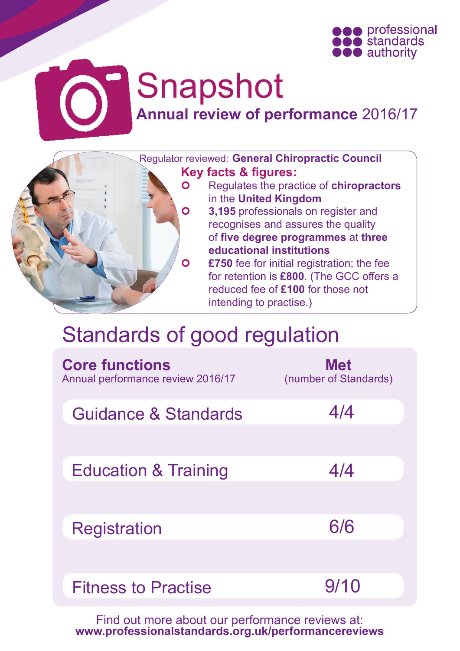

# Snapshot **Annual review of performance** 2016/17



## Standards of good regulation

| <b>Core functions</b><br>Annual performance review 2016/17 | <b>Met</b><br>(number of Standards) |
|------------------------------------------------------------|-------------------------------------|
| Guidance & Standards                                       | 4/4                                 |
| <b>Education &amp; Training</b>                            | 4/4                                 |
| <b>Registration</b>                                        | 6/6                                 |
| <b>Fitness to Practise</b>                                 | 9/10                                |

Find out more about our performance reviews at: **[www.professionalstandards.org.uk/performancereviews](http://www.professionalstandards.org.uk/performancereviews)**